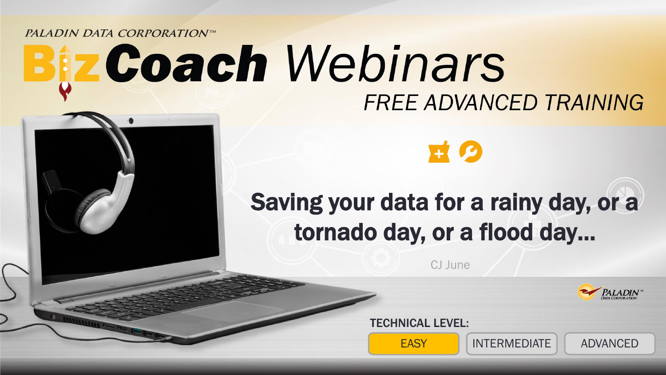**PALADIN DATA CORPORATIONTM** 

# th Webinars in Density of a raing team of the top and the set of the set of the set of the set of the set of the **FREE ADVANCED TRAINING**

# ing your data for a rainy day. tornado day, or a flood day... Saving your data for a rainy day, or a

ALL ABOUT THAT KIT,

CJ June

TECHNICAL LEVEL:

EASY INTERMEDIATE ADVANCED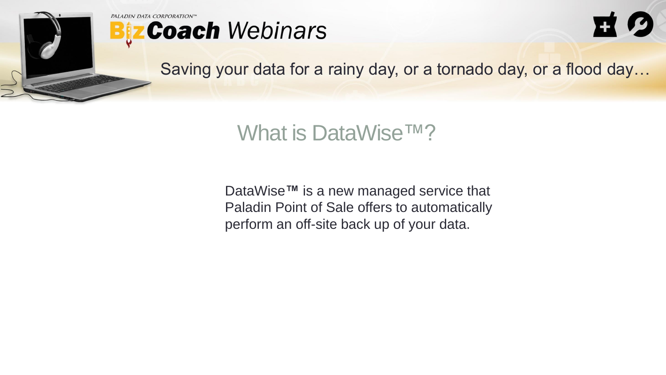

PALADIN DATA CORPORATION"





Saving your data for a rainy day, or a tornado day, or a flood day…

What is DataWise™?

DataWise**™** is a new managed service that Paladin Point of Sale offers to automatically perform an off-site back up of your data.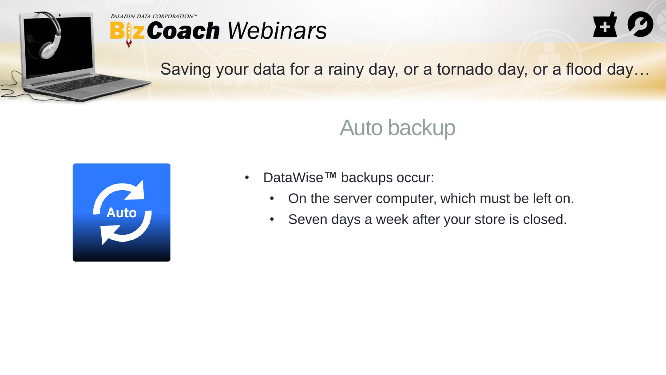

### **PALADIN DATA CORPORATION**<sup>n</sup> **Biz Coach Webinars**



Saving your data for a rainy day, or a tornado day, or a flood day…

# Auto backup



- DataWise**™** backups occur:
	- On the server computer, which must be left on.
	- Seven days a week after your store is closed.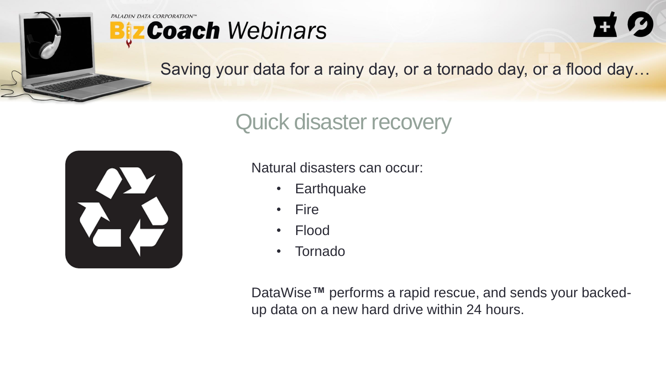





Saving your data for a rainy day, or a tornado day, or a flood day…

# Quick disaster recovery



Natural disasters can occur:

- Earthquake
- Fire
- Flood
- Tornado

DataWise**™** performs a rapid rescue, and sends your backedup data on a new hard drive within 24 hours.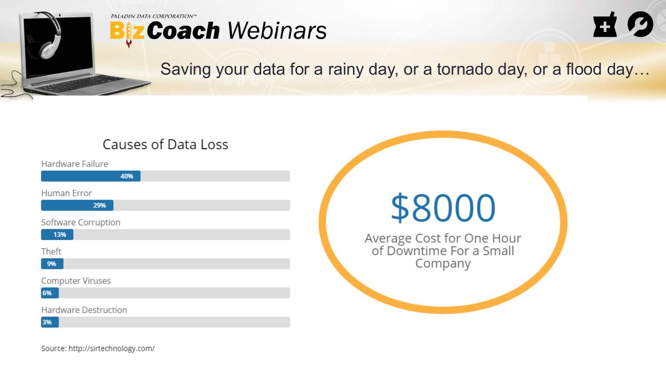

## **PALADIN DATA CORPORATION™ Biz Coach Webinars**



## Saving your data for a rainy day, or a tornado day, or a flood day…

## Causes of Data Loss

Hardware Failure

Human Error

29%

40%

Software Corruption

13%

Theft

9%

Computer Viruses

6%

Hardware Destruction

3%

\$8000 Average Cost for One Hour<br>of Downtime For a Small Company

Source: http://sirtechnology.com/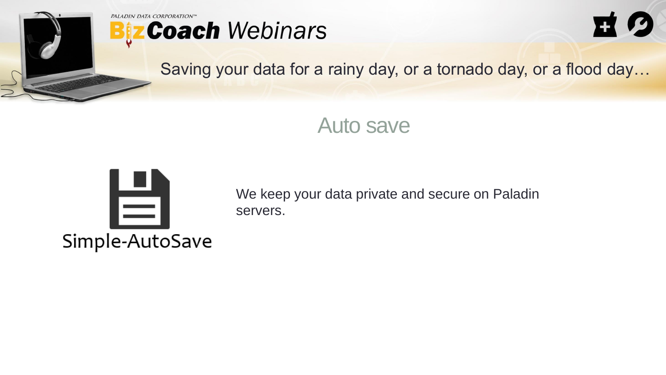





Saving your data for a rainy day, or a tornado day, or a flood day…

## Auto save



We keep your data private and secure on Paladin servers.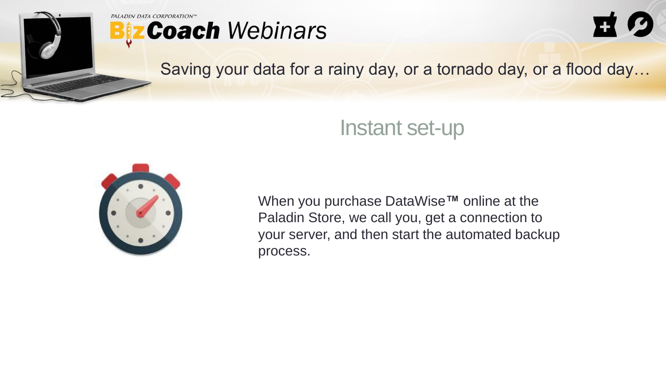

#### PALADIN DATA CORPORATION" **Biz Coach Webinars**



Saving your data for a rainy day, or a tornado day, or a flood day…

## Instant set-up



When you purchase DataWise**™** online at the Paladin Store, we call you, get a connection to your server, and then start the automated backup process.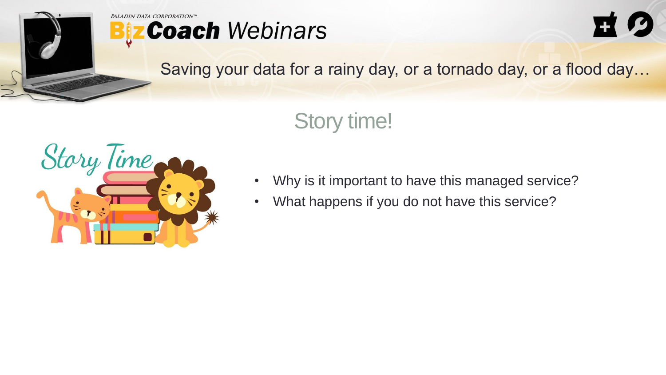





Saving your data for a rainy day, or a tornado day, or a flood day…

# Story time!



- Why is it important to have this managed service?
- What happens if you do not have this service?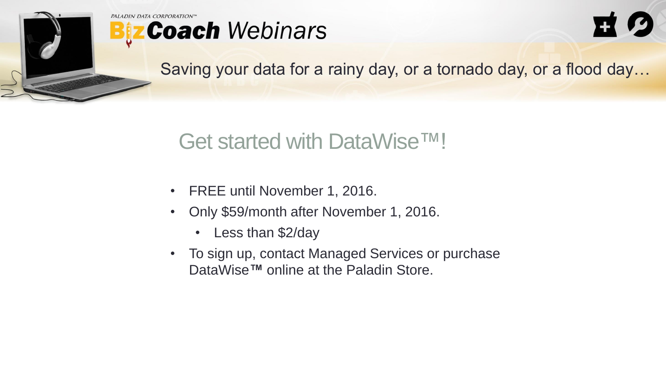

#### PALADIN DATA CORPORATION **Biz Coach Webinars**



Saving your data for a rainy day, or a tornado day, or a flood day…

# Get started with DataWise™!

- FREE until November 1, 2016.
- Only \$59/month after November 1, 2016.
	- Less than \$2/day
- To sign up, contact Managed Services or purchase DataWise**™** online at the Paladin Store.